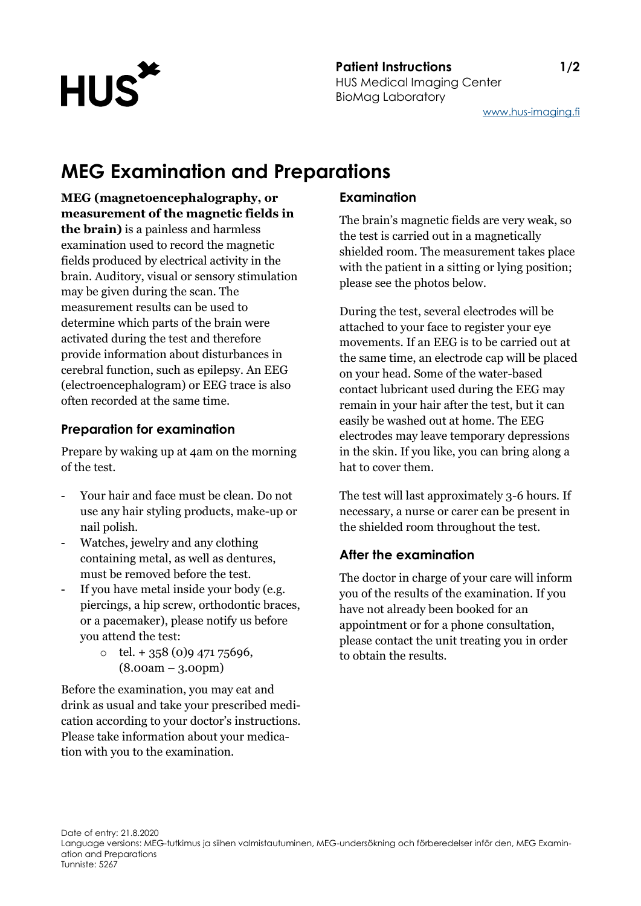

#### **Patient Instructions 1/2** HUS Medical Imaging Center BioMag Laboratory

[www.hus-imaging.fi](http://www.hus-imaging.fi/)

# **MEG Examination and Preparations**

**MEG (magnetoencephalography, or measurement of the magnetic fields in the brain)** is a painless and harmless examination used to record the magnetic fields produced by electrical activity in the brain. Auditory, visual or sensory stimulation may be given during the scan. The measurement results can be used to determine which parts of the brain were activated during the test and therefore provide information about disturbances in cerebral function, such as epilepsy. An EEG (electroencephalogram) or EEG trace is also often recorded at the same time.

#### **Preparation for examination**

Prepare by waking up at 4am on the morning of the test.

- Your hair and face must be clean. Do not use any hair styling products, make-up or nail polish.
- Watches, jewelry and any clothing containing metal, as well as dentures, must be removed before the test.
- If you have metal inside your body (e.g. piercings, a hip screw, orthodontic braces, or a pacemaker), please notify us before you attend the test:
	- $\circ$  tel. + 358 (0)9 471 75696, (8.00am – 3.00pm)

Before the examination, you may eat and drink as usual and take your prescribed medication according to your doctor's instructions. Please take information about your medication with you to the examination.

## **Examination**

The brain's magnetic fields are very weak, so the test is carried out in a magnetically shielded room. The measurement takes place with the patient in a sitting or lying position; please see the photos below.

During the test, several electrodes will be attached to your face to register your eye movements. If an EEG is to be carried out at the same time, an electrode cap will be placed on your head. Some of the water-based contact lubricant used during the EEG may remain in your hair after the test, but it can easily be washed out at home. The EEG electrodes may leave temporary depressions in the skin. If you like, you can bring along a hat to cover them.

The test will last approximately 3-6 hours. If necessary, a nurse or carer can be present in the shielded room throughout the test.

# **After the examination**

The doctor in charge of your care will inform you of the results of the examination. If you have not already been booked for an appointment or for a phone consultation, please contact the unit treating you in order to obtain the results.